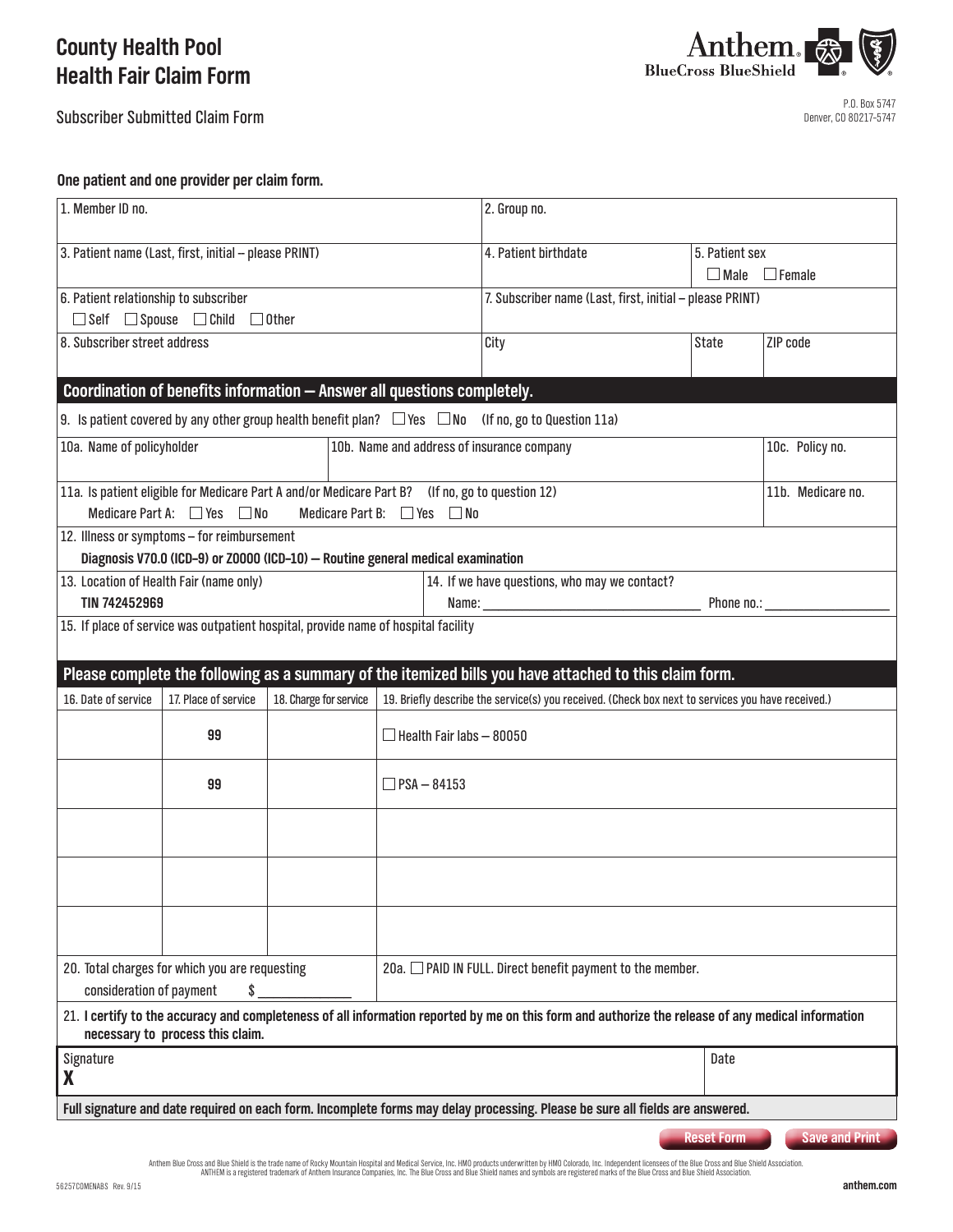# **County Health Pool Health Fair Claim Form**

Subscriber Submitted Claim Form



# **One patient and one provider per claim form.**

| 1. Member ID no.                                                                                                                                                                       |                                                       |                                                                                                 |                                                            | 2. Group no.                                                                                      |                   |                                 |  |
|----------------------------------------------------------------------------------------------------------------------------------------------------------------------------------------|-------------------------------------------------------|-------------------------------------------------------------------------------------------------|------------------------------------------------------------|---------------------------------------------------------------------------------------------------|-------------------|---------------------------------|--|
|                                                                                                                                                                                        | 3. Patient name (Last, first, initial - please PRINT) |                                                                                                 |                                                            | 4. Patient birthdate                                                                              | $\Box$ Male       | 5. Patient sex<br>$\Box$ Female |  |
| 6. Patient relationship to subscriber                                                                                                                                                  |                                                       |                                                                                                 |                                                            | 7. Subscriber name (Last, first, initial - please PRINT)                                          |                   |                                 |  |
| $\Box$ Self $\Box$ Spouse $\Box$ Child $\Box$ Other                                                                                                                                    |                                                       |                                                                                                 |                                                            |                                                                                                   |                   |                                 |  |
| 8. Subscriber street address                                                                                                                                                           |                                                       |                                                                                                 |                                                            | City                                                                                              | <b>State</b>      | ZIP code                        |  |
| Coordination of benefits information - Answer all questions completely.                                                                                                                |                                                       |                                                                                                 |                                                            |                                                                                                   |                   |                                 |  |
| 9. Is patient covered by any other group health benefit plan? $\Box$ Yes $\Box$ No (If no, go to Question 11a)                                                                         |                                                       |                                                                                                 |                                                            |                                                                                                   |                   |                                 |  |
| 10a. Name of policyholder                                                                                                                                                              |                                                       |                                                                                                 | 10b. Name and address of insurance company                 |                                                                                                   |                   | 10c. Policy no.                 |  |
|                                                                                                                                                                                        |                                                       | 11a. Is patient eligible for Medicare Part A and/or Medicare Part B? (If no, go to question 12) |                                                            |                                                                                                   | 11b. Medicare no. |                                 |  |
| Medicare Part A: $\Box$ Yes $\Box$ No<br>Medicare Part B: $\Box$ Yes $\Box$ No<br>12. Illness or symptoms - for reimbursement                                                          |                                                       |                                                                                                 |                                                            |                                                                                                   |                   |                                 |  |
| Diagnosis V70.0 (ICD-9) or Z0000 (ICD-10) - Routine general medical examination                                                                                                        |                                                       |                                                                                                 |                                                            |                                                                                                   |                   |                                 |  |
| 13. Location of Health Fair (name only)<br>14. If we have questions, who may we contact?                                                                                               |                                                       |                                                                                                 |                                                            |                                                                                                   |                   |                                 |  |
| TIN 742452969                                                                                                                                                                          |                                                       |                                                                                                 | Phone $no.:$                                               |                                                                                                   |                   |                                 |  |
| 15. If place of service was outpatient hospital, provide name of hospital facility                                                                                                     |                                                       |                                                                                                 |                                                            |                                                                                                   |                   |                                 |  |
| Please complete the following as a summary of the itemized bills you have attached to this claim form.                                                                                 |                                                       |                                                                                                 |                                                            |                                                                                                   |                   |                                 |  |
| 16. Date of service                                                                                                                                                                    | 17. Place of service                                  | 18. Charge for service                                                                          |                                                            | 19. Briefly describe the service(s) you received. (Check box next to services you have received.) |                   |                                 |  |
|                                                                                                                                                                                        | 99                                                    |                                                                                                 | $\Box$ Health Fair labs – 80050                            |                                                                                                   |                   |                                 |  |
|                                                                                                                                                                                        | 99                                                    |                                                                                                 | $\Box$ PSA $-$ 84153                                       |                                                                                                   |                   |                                 |  |
|                                                                                                                                                                                        |                                                       |                                                                                                 |                                                            |                                                                                                   |                   |                                 |  |
|                                                                                                                                                                                        |                                                       |                                                                                                 |                                                            |                                                                                                   |                   |                                 |  |
|                                                                                                                                                                                        |                                                       |                                                                                                 |                                                            |                                                                                                   |                   |                                 |  |
| consideration of payment                                                                                                                                                               | 20. Total charges for which you are requesting<br>\$  |                                                                                                 | 20a. □ PAID IN FULL. Direct benefit payment to the member. |                                                                                                   |                   |                                 |  |
| 21. I certify to the accuracy and completeness of all information reported by me on this form and authorize the release of any medical information<br>necessary to process this claim. |                                                       |                                                                                                 |                                                            |                                                                                                   |                   |                                 |  |
| Signature<br>X                                                                                                                                                                         |                                                       |                                                                                                 |                                                            |                                                                                                   | Date              |                                 |  |
| Full signature and date required on each form. Incomplete forms may delay processing. Please be sure all fields are answered.                                                          |                                                       |                                                                                                 |                                                            |                                                                                                   |                   |                                 |  |
| <b>Reset Form</b><br><b>Save and Print</b>                                                                                                                                             |                                                       |                                                                                                 |                                                            |                                                                                                   |                   |                                 |  |

Anthem Blue Cross and Blue Shield is the trade name of Rocky Mountain Hospital and Medical Service, Inc. HMD products underwritten by HMO Colorado, Inc. Independent licensees of the Blue Cross and Blue Shield Association.<br>